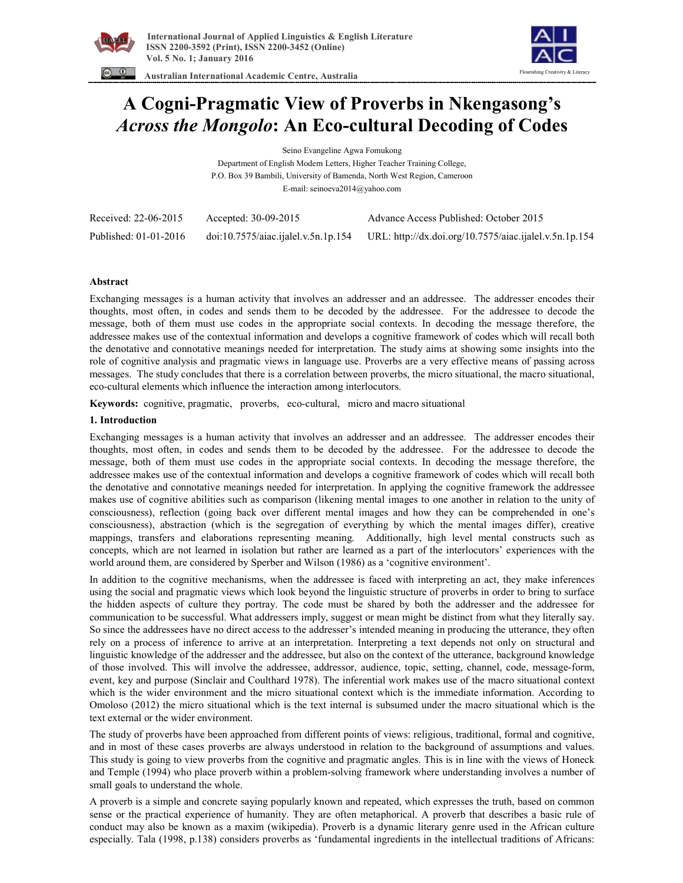



 **Australian International Academic Centre, Australia** 

# **A Cogni-Pragmatic View of Proverbs in Nkengasong's**  *Across the Mongolo***: An Eco-cultural Decoding of Codes**

Seino Evangeline Agwa Fomukong Department of English Modern Letters, Higher Teacher Training College,

P.O. Box 39 Bambili, University of Bamenda, North West Region, Cameroon E-mail: seinoeva2014@yahoo.com

| Received: 22-06-2015  | Accepted: 30-09-2015                | Advance Access Published: October 2015                 |
|-----------------------|-------------------------------------|--------------------------------------------------------|
| Published: 01-01-2016 | doi:10.7575/aiac.ijalel.v.5n.1p.154 | URL: http://dx.doi.org/10.7575/aiac.ijalel.v.5n.1p.154 |

# **Abstract**

Exchanging messages is a human activity that involves an addresser and an addressee. The addresser encodes their thoughts, most often, in codes and sends them to be decoded by the addressee. For the addressee to decode the message, both of them must use codes in the appropriate social contexts. In decoding the message therefore, the addressee makes use of the contextual information and develops a cognitive framework of codes which will recall both the denotative and connotative meanings needed for interpretation. The study aims at showing some insights into the role of cognitive analysis and pragmatic views in language use. Proverbs are a very effective means of passing across messages. The study concludes that there is a correlation between proverbs, the micro situational, the macro situational, eco-cultural elements which influence the interaction among interlocutors.

**Keywords:** cognitive, pragmatic, proverbs, eco-cultural, micro and macro situational

# **1. Introduction**

Exchanging messages is a human activity that involves an addresser and an addressee. The addresser encodes their thoughts, most often, in codes and sends them to be decoded by the addressee. For the addressee to decode the message, both of them must use codes in the appropriate social contexts. In decoding the message therefore, the addressee makes use of the contextual information and develops a cognitive framework of codes which will recall both the denotative and connotative meanings needed for interpretation. In applying the cognitive framework the addressee makes use of cognitive abilities such as comparison (likening mental images to one another in relation to the unity of consciousness), reflection (going back over different mental images and how they can be comprehended in one's consciousness), abstraction (which is the segregation of everything by which the mental images differ), creative mappings, transfers and elaborations representing meaning. Additionally, high level mental constructs such as concepts, which are not learned in isolation but rather are learned as a part of the interlocutors' experiences with the world around them, are considered by Sperber and Wilson (1986) as a 'cognitive environment'.

In addition to the cognitive mechanisms, when the addressee is faced with interpreting an act, they make inferences using the social and pragmatic views which look beyond the linguistic structure of proverbs in order to bring to surface the hidden aspects of culture they portray. The code must be shared by both the addresser and the addressee for communication to be successful. What addressers imply, suggest or mean might be distinct from what they literally say. So since the addressees have no direct access to the addresser's intended meaning in producing the utterance, they often rely on a process of inference to arrive at an interpretation. Interpreting a text depends not only on structural and linguistic knowledge of the addresser and the addressee, but also on the context of the utterance, background knowledge of those involved. This will involve the addressee, addressor, audience, topic, setting, channel, code, message-form, event, key and purpose (Sinclair and Coulthard 1978). The inferential work makes use of the macro situational context which is the wider environment and the micro situational context which is the immediate information. According to Omoloso (2012) the micro situational which is the text internal is subsumed under the macro situational which is the text external or the wider environment.

The study of proverbs have been approached from different points of views: religious, traditional, formal and cognitive, and in most of these cases proverbs are always understood in relation to the background of assumptions and values. This study is going to view proverbs from the cognitive and pragmatic angles. This is in line with the views of Honeck and Temple (1994) who place proverb within a problem-solving framework where understanding involves a number of small goals to understand the whole.

A proverb is a simple and concrete saying popularly known and repeated, which expresses the truth, based on common sense or the practical experience of humanity. They are often metaphorical. A proverb that describes a basic rule of conduct may also be known as a maxim (wikipedia). Proverb is a dynamic literary genre used in the African culture especially. Tala (1998, p.138) considers proverbs as 'fundamental ingredients in the intellectual traditions of Africans: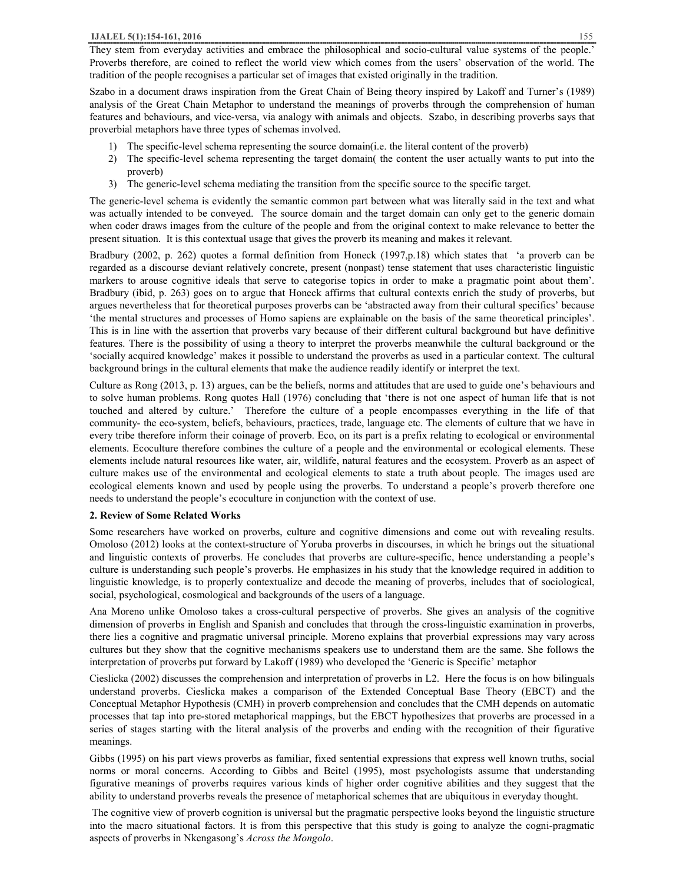They stem from everyday activities and embrace the philosophical and socio-cultural value systems of the people.' Proverbs therefore, are coined to reflect the world view which comes from the users' observation of the world. The tradition of the people recognises a particular set of images that existed originally in the tradition.

Szabo in a document draws inspiration from the Great Chain of Being theory inspired by Lakoff and Turner's (1989) analysis of the Great Chain Metaphor to understand the meanings of proverbs through the comprehension of human features and behaviours, and vice-versa, via analogy with animals and objects. Szabo, in describing proverbs says that proverbial metaphors have three types of schemas involved.

- 1) The specific-level schema representing the source domain(i.e. the literal content of the proverb)
- 2) The specific-level schema representing the target domain( the content the user actually wants to put into the proverb)
- 3) The generic-level schema mediating the transition from the specific source to the specific target.

The generic-level schema is evidently the semantic common part between what was literally said in the text and what was actually intended to be conveyed. The source domain and the target domain can only get to the generic domain when coder draws images from the culture of the people and from the original context to make relevance to better the present situation. It is this contextual usage that gives the proverb its meaning and makes it relevant.

Bradbury (2002, p. 262) quotes a formal definition from Honeck (1997,p.18) which states that 'a proverb can be regarded as a discourse deviant relatively concrete, present (nonpast) tense statement that uses characteristic linguistic markers to arouse cognitive ideals that serve to categorise topics in order to make a pragmatic point about them'. Bradbury (ibid, p. 263) goes on to argue that Honeck affirms that cultural contexts enrich the study of proverbs, but argues nevertheless that for theoretical purposes proverbs can be 'abstracted away from their cultural specifics' because 'the mental structures and processes of Homo sapiens are explainable on the basis of the same theoretical principles'. This is in line with the assertion that proverbs vary because of their different cultural background but have definitive features. There is the possibility of using a theory to interpret the proverbs meanwhile the cultural background or the 'socially acquired knowledge' makes it possible to understand the proverbs as used in a particular context. The cultural background brings in the cultural elements that make the audience readily identify or interpret the text.

Culture as Rong (2013, p. 13) argues, can be the beliefs, norms and attitudes that are used to guide one's behaviours and to solve human problems. Rong quotes Hall (1976) concluding that 'there is not one aspect of human life that is not touched and altered by culture.' Therefore the culture of a people encompasses everything in the life of that community- the eco-system, beliefs, behaviours, practices, trade, language etc. The elements of culture that we have in every tribe therefore inform their coinage of proverb. Eco, on its part is a prefix relating to ecological or environmental elements. Ecoculture therefore combines the culture of a people and the environmental or ecological elements. These elements include natural resources like water, air, wildlife, natural features and the ecosystem. Proverb as an aspect of culture makes use of the environmental and ecological elements to state a truth about people. The images used are ecological elements known and used by people using the proverbs. To understand a people's proverb therefore one needs to understand the people's ecoculture in conjunction with the context of use.

# **2. Review of Some Related Works**

Some researchers have worked on proverbs, culture and cognitive dimensions and come out with revealing results. Omoloso (2012) looks at the context-structure of Yoruba proverbs in discourses, in which he brings out the situational and linguistic contexts of proverbs. He concludes that proverbs are culture-specific, hence understanding a people's culture is understanding such people's proverbs. He emphasizes in his study that the knowledge required in addition to linguistic knowledge, is to properly contextualize and decode the meaning of proverbs, includes that of sociological, social, psychological, cosmological and backgrounds of the users of a language.

Ana Moreno unlike Omoloso takes a cross-cultural perspective of proverbs. She gives an analysis of the cognitive dimension of proverbs in English and Spanish and concludes that through the cross-linguistic examination in proverbs, there lies a cognitive and pragmatic universal principle. Moreno explains that proverbial expressions may vary across cultures but they show that the cognitive mechanisms speakers use to understand them are the same. She follows the interpretation of proverbs put forward by Lakoff (1989) who developed the 'Generic is Specific' metaphor

Cieslicka (2002) discusses the comprehension and interpretation of proverbs in L2. Here the focus is on how bilinguals understand proverbs. Cieslicka makes a comparison of the Extended Conceptual Base Theory (EBCT) and the Conceptual Metaphor Hypothesis (CMH) in proverb comprehension and concludes that the CMH depends on automatic processes that tap into pre-stored metaphorical mappings, but the EBCT hypothesizes that proverbs are processed in a series of stages starting with the literal analysis of the proverbs and ending with the recognition of their figurative meanings.

Gibbs (1995) on his part views proverbs as familiar, fixed sentential expressions that express well known truths, social norms or moral concerns. According to Gibbs and Beitel (1995), most psychologists assume that understanding figurative meanings of proverbs requires various kinds of higher order cognitive abilities and they suggest that the ability to understand proverbs reveals the presence of metaphorical schemes that are ubiquitous in everyday thought.

 The cognitive view of proverb cognition is universal but the pragmatic perspective looks beyond the linguistic structure into the macro situational factors. It is from this perspective that this study is going to analyze the cogni-pragmatic aspects of proverbs in Nkengasong's *Across the Mongolo*.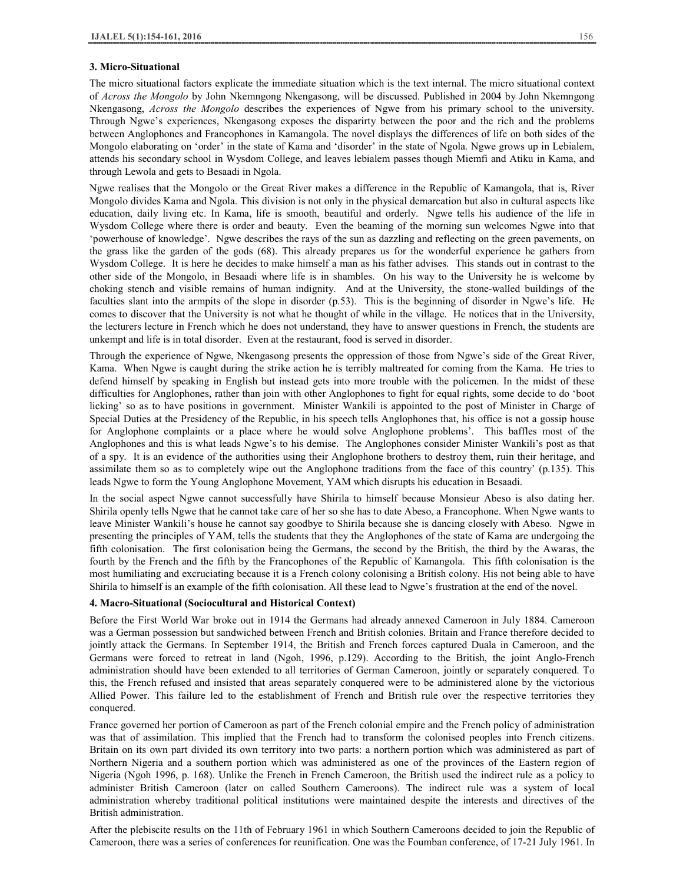#### **3. Micro-Situational**

The micro situational factors explicate the immediate situation which is the text internal. The micro situational context of *Across the Mongolo* by John Nkemngong Nkengasong, will be discussed. Published in 2004 by John Nkemngong Nkengasong, *Across the Mongolo* describes the experiences of Ngwe from his primary school to the university. Through Ngwe's experiences, Nkengasong exposes the disparirty between the poor and the rich and the problems between Anglophones and Francophones in Kamangola. The novel displays the differences of life on both sides of the Mongolo elaborating on 'order' in the state of Kama and 'disorder' in the state of Ngola. Ngwe grows up in Lebialem, attends his secondary school in Wysdom College, and leaves lebialem passes though Miemfi and Atiku in Kama, and through Lewola and gets to Besaadi in Ngola.

Ngwe realises that the Mongolo or the Great River makes a difference in the Republic of Kamangola, that is, River Mongolo divides Kama and Ngola. This division is not only in the physical demarcation but also in cultural aspects like education, daily living etc. In Kama, life is smooth, beautiful and orderly. Ngwe tells his audience of the life in Wysdom College where there is order and beauty. Even the beaming of the morning sun welcomes Ngwe into that 'powerhouse of knowledge'. Ngwe describes the rays of the sun as dazzling and reflecting on the green pavements, on the grass like the garden of the gods (68). This already prepares us for the wonderful experience he gathers from Wysdom College. It is here he decides to make himself a man as his father advises. This stands out in contrast to the other side of the Mongolo, in Besaadi where life is in shambles. On his way to the University he is welcome by choking stench and visible remains of human indignity. And at the University, the stone-walled buildings of the faculties slant into the armpits of the slope in disorder (p.53). This is the beginning of disorder in Ngwe's life. He comes to discover that the University is not what he thought of while in the village. He notices that in the University, the lecturers lecture in French which he does not understand, they have to answer questions in French, the students are unkempt and life is in total disorder. Even at the restaurant, food is served in disorder.

Through the experience of Ngwe, Nkengasong presents the oppression of those from Ngwe's side of the Great River, Kama. When Ngwe is caught during the strike action he is terribly maltreated for coming from the Kama. He tries to defend himself by speaking in English but instead gets into more trouble with the policemen. In the midst of these difficulties for Anglophones, rather than join with other Anglophones to fight for equal rights, some decide to do 'boot licking' so as to have positions in government. Minister Wankili is appointed to the post of Minister in Charge of Special Duties at the Presidency of the Republic, in his speech tells Anglophones that, his office is not a gossip house for Anglophone complaints or a place where he would solve Anglophone problems'. This baffles most of the Anglophones and this is what leads Ngwe's to his demise. The Anglophones consider Minister Wankili's post as that of a spy. It is an evidence of the authorities using their Anglophone brothers to destroy them, ruin their heritage, and assimilate them so as to completely wipe out the Anglophone traditions from the face of this country' (p.135). This leads Ngwe to form the Young Anglophone Movement, YAM which disrupts his education in Besaadi.

In the social aspect Ngwe cannot successfully have Shirila to himself because Monsieur Abeso is also dating her. Shirila openly tells Ngwe that he cannot take care of her so she has to date Abeso, a Francophone. When Ngwe wants to leave Minister Wankili's house he cannot say goodbye to Shirila because she is dancing closely with Abeso. Ngwe in presenting the principles of YAM, tells the students that they the Anglophones of the state of Kama are undergoing the fifth colonisation. The first colonisation being the Germans, the second by the British, the third by the Awaras, the fourth by the French and the fifth by the Francophones of the Republic of Kamangola. This fifth colonisation is the most humiliating and excruciating because it is a French colony colonising a British colony. His not being able to have Shirila to himself is an example of the fifth colonisation. All these lead to Ngwe's frustration at the end of the novel.

#### **4. Macro-Situational (Sociocultural and Historical Context)**

Before the First World War broke out in 1914 the Germans had already annexed Cameroon in July 1884. Cameroon was a German possession but sandwiched between French and British colonies. Britain and France therefore decided to jointly attack the Germans. In September 1914, the British and French forces captured Duala in Cameroon, and the Germans were forced to retreat in land (Ngoh, 1996, p.129). According to the British, the joint Anglo-French administration should have been extended to all territories of German Cameroon, jointly or separately conquered. To this, the French refused and insisted that areas separately conquered were to be administered alone by the victorious Allied Power. This failure led to the establishment of French and British rule over the respective territories they conquered.

France governed her portion of Cameroon as part of the French colonial empire and the French policy of administration was that of assimilation. This implied that the French had to transform the colonised peoples into French citizens. Britain on its own part divided its own territory into two parts: a northern portion which was administered as part of Northern Nigeria and a southern portion which was administered as one of the provinces of the Eastern region of Nigeria (Ngoh 1996, p. 168). Unlike the French in French Cameroon, the British used the indirect rule as a policy to administer British Cameroon (later on called Southern Cameroons). The indirect rule was a system of local administration whereby traditional political institutions were maintained despite the interests and directives of the British administration.

After the plebiscite results on the 11th of February 1961 in which Southern Cameroons decided to join the Republic of Cameroon, there was a series of conferences for reunification. One was the Foumban conference, of 17-21 July 1961. In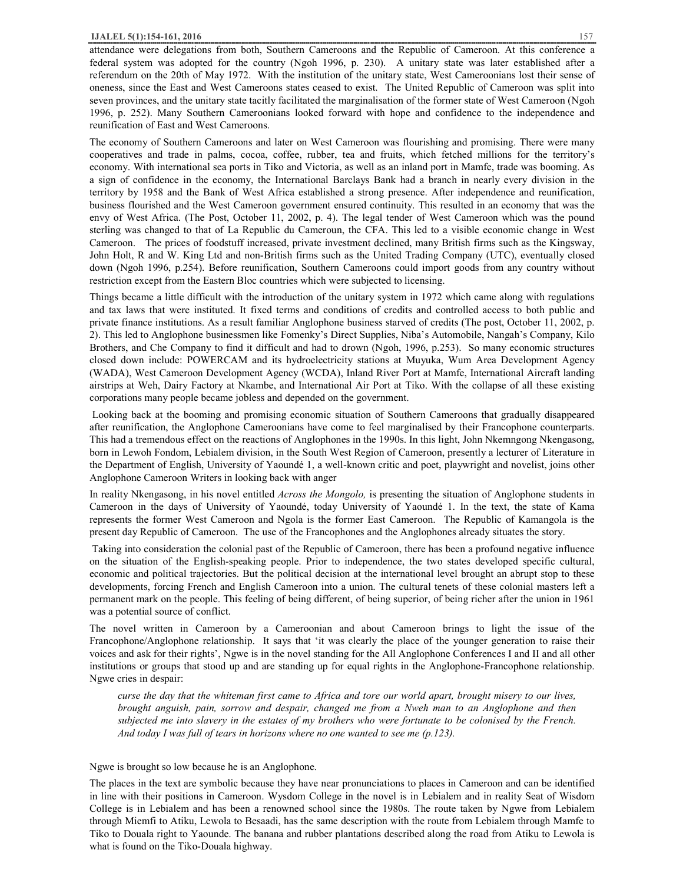## **IJALEL 5(1):154-161, 2016** 157

attendance were delegations from both, Southern Cameroons and the Republic of Cameroon. At this conference a federal system was adopted for the country (Ngoh 1996, p. 230). A unitary state was later established after a referendum on the 20th of May 1972. With the institution of the unitary state, West Cameroonians lost their sense of oneness, since the East and West Cameroons states ceased to exist. The United Republic of Cameroon was split into seven provinces, and the unitary state tacitly facilitated the marginalisation of the former state of West Cameroon (Ngoh 1996, p. 252). Many Southern Cameroonians looked forward with hope and confidence to the independence and reunification of East and West Cameroons.

The economy of Southern Cameroons and later on West Cameroon was flourishing and promising. There were many cooperatives and trade in palms, cocoa, coffee, rubber, tea and fruits, which fetched millions for the territory's economy. With international sea ports in Tiko and Victoria, as well as an inland port in Mamfe, trade was booming. As a sign of confidence in the economy, the International Barclays Bank had a branch in nearly every division in the territory by 1958 and the Bank of West Africa established a strong presence. After independence and reunification, business flourished and the West Cameroon government ensured continuity. This resulted in an economy that was the envy of West Africa. (The Post, October 11, 2002, p. 4). The legal tender of West Cameroon which was the pound sterling was changed to that of La Republic du Cameroun, the CFA. This led to a visible economic change in West Cameroon. The prices of foodstuff increased, private investment declined, many British firms such as the Kingsway, John Holt, R and W. King Ltd and non-British firms such as the United Trading Company (UTC), eventually closed down (Ngoh 1996, p.254). Before reunification, Southern Cameroons could import goods from any country without restriction except from the Eastern Bloc countries which were subjected to licensing.

Things became a little difficult with the introduction of the unitary system in 1972 which came along with regulations and tax laws that were instituted. It fixed terms and conditions of credits and controlled access to both public and private finance institutions. As a result familiar Anglophone business starved of credits (The post, October 11, 2002, p. 2). This led to Anglophone businessmen like Fomenky's Direct Supplies, Niba's Automobile, Nangah's Company, Kilo Brothers, and Che Company to find it difficult and had to drown (Ngoh, 1996, p.253). So many economic structures closed down include: POWERCAM and its hydroelectricity stations at Muyuka, Wum Area Development Agency (WADA), West Cameroon Development Agency (WCDA), Inland River Port at Mamfe, International Aircraft landing airstrips at Weh, Dairy Factory at Nkambe, and International Air Port at Tiko. With the collapse of all these existing corporations many people became jobless and depended on the government.

Looking back at the booming and promising economic situation of Southern Cameroons that gradually disappeared after reunification, the Anglophone Cameroonians have come to feel marginalised by their Francophone counterparts. This had a tremendous effect on the reactions of Anglophones in the 1990s. In this light, John Nkemngong Nkengasong, born in Lewoh Fondom, Lebialem division, in the South West Region of Cameroon, presently a lecturer of Literature in the Department of English, University of Yaoundé 1, a well-known critic and poet, playwright and novelist, joins other Anglophone Cameroon Writers in looking back with anger

In reality Nkengasong, in his novel entitled *Across the Mongolo,* is presenting the situation of Anglophone students in Cameroon in the days of University of Yaoundé, today University of Yaoundé 1. In the text, the state of Kama represents the former West Cameroon and Ngola is the former East Cameroon. The Republic of Kamangola is the present day Republic of Cameroon. The use of the Francophones and the Anglophones already situates the story.

 Taking into consideration the colonial past of the Republic of Cameroon, there has been a profound negative influence on the situation of the English-speaking people. Prior to independence, the two states developed specific cultural, economic and political trajectories. But the political decision at the international level brought an abrupt stop to these developments, forcing French and English Cameroon into a union. The cultural tenets of these colonial masters left a permanent mark on the people. This feeling of being different, of being superior, of being richer after the union in 1961 was a potential source of conflict.

The novel written in Cameroon by a Cameroonian and about Cameroon brings to light the issue of the Francophone/Anglophone relationship. It says that 'it was clearly the place of the younger generation to raise their voices and ask for their rights', Ngwe is in the novel standing for the All Anglophone Conferences I and II and all other institutions or groups that stood up and are standing up for equal rights in the Anglophone-Francophone relationship. Ngwe cries in despair:

curse the day that the whiteman first came to Africa and tore our world apart, brought misery to our lives, *brought anguish, pain, sorrow and despair, changed me from a Nweh man to an Anglophone and then*  subjected me into slavery in the estates of my brothers who were fortunate to be colonised by the French. *And today I was full of tears in horizons where no one wanted to see me (p.123).* 

#### Ngwe is brought so low because he is an Anglophone.

The places in the text are symbolic because they have near pronunciations to places in Cameroon and can be identified in line with their positions in Cameroon. Wysdom College in the novel is in Lebialem and in reality Seat of Wisdom College is in Lebialem and has been a renowned school since the 1980s. The route taken by Ngwe from Lebialem through Miemfi to Atiku, Lewola to Besaadi, has the same description with the route from Lebialem through Mamfe to Tiko to Douala right to Yaounde. The banana and rubber plantations described along the road from Atiku to Lewola is what is found on the Tiko-Douala highway.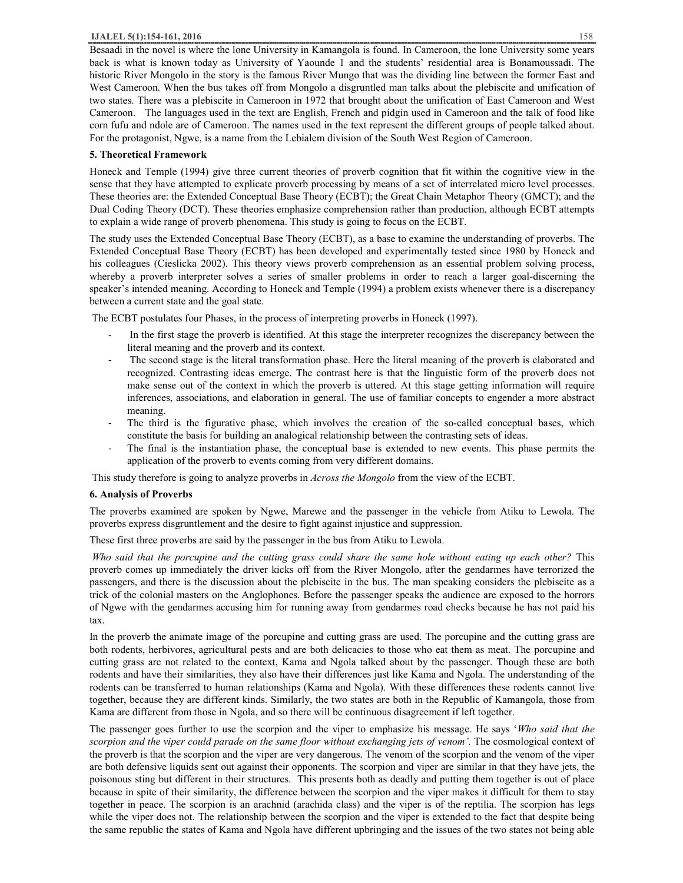## **IJALEL 5(1):154-161, 2016** 158

Besaadi in the novel is where the lone University in Kamangola is found. In Cameroon, the lone University some years back is what is known today as University of Yaounde 1 and the students' residential area is Bonamoussadi. The historic River Mongolo in the story is the famous River Mungo that was the dividing line between the former East and West Cameroon. When the bus takes off from Mongolo a disgruntled man talks about the plebiscite and unification of two states. There was a plebiscite in Cameroon in 1972 that brought about the unification of East Cameroon and West Cameroon. The languages used in the text are English, French and pidgin used in Cameroon and the talk of food like corn fufu and ndole are of Cameroon. The names used in the text represent the different groups of people talked about. For the protagonist, Ngwe, is a name from the Lebialem division of the South West Region of Cameroon.

## **5. Theoretical Framework**

Honeck and Temple (1994) give three current theories of proverb cognition that fit within the cognitive view in the sense that they have attempted to explicate proverb processing by means of a set of interrelated micro level processes. These theories are: the Extended Conceptual Base Theory (ECBT); the Great Chain Metaphor Theory (GMCT); and the Dual Coding Theory (DCT). These theories emphasize comprehension rather than production, although ECBT attempts to explain a wide range of proverb phenomena. This study is going to focus on the ECBT.

The study uses the Extended Conceptual Base Theory (ECBT), as a base to examine the understanding of proverbs. The Extended Conceptual Base Theory (ECBT) has been developed and experimentally tested since 1980 by Honeck and his colleagues (Cieslicka 2002). This theory views proverb comprehension as an essential problem solving process, whereby a proverb interpreter solves a series of smaller problems in order to reach a larger goal-discerning the speaker's intended meaning. According to Honeck and Temple (1994) a problem exists whenever there is a discrepancy between a current state and the goal state.

The ECBT postulates four Phases, in the process of interpreting proverbs in Honeck (1997).

- In the first stage the proverb is identified. At this stage the interpreter recognizes the discrepancy between the literal meaning and the proverb and its context.
- The second stage is the literal transformation phase. Here the literal meaning of the proverb is elaborated and recognized. Contrasting ideas emerge. The contrast here is that the linguistic form of the proverb does not make sense out of the context in which the proverb is uttered. At this stage getting information will require inferences, associations, and elaboration in general. The use of familiar concepts to engender a more abstract meaning.
- The third is the figurative phase, which involves the creation of the so-called conceptual bases, which constitute the basis for building an analogical relationship between the contrasting sets of ideas.
- The final is the instantiation phase, the conceptual base is extended to new events. This phase permits the application of the proverb to events coming from very different domains.

This study therefore is going to analyze proverbs in *Across the Mongolo* from the view of the ECBT.

## **6. Analysis of Proverbs**

The proverbs examined are spoken by Ngwe, Marewe and the passenger in the vehicle from Atiku to Lewola. The proverbs express disgruntlement and the desire to fight against injustice and suppression.

These first three proverbs are said by the passenger in the bus from Atiku to Lewola.

Who said that the porcupine and the cutting grass could share the same hole without eating up each other? This proverb comes up immediately the driver kicks off from the River Mongolo, after the gendarmes have terrorized the passengers, and there is the discussion about the plebiscite in the bus. The man speaking considers the plebiscite as a trick of the colonial masters on the Anglophones. Before the passenger speaks the audience are exposed to the horrors of Ngwe with the gendarmes accusing him for running away from gendarmes road checks because he has not paid his tax.

In the proverb the animate image of the porcupine and cutting grass are used. The porcupine and the cutting grass are both rodents, herbivores, agricultural pests and are both delicacies to those who eat them as meat. The porcupine and cutting grass are not related to the context, Kama and Ngola talked about by the passenger. Though these are both rodents and have their similarities, they also have their differences just like Kama and Ngola. The understanding of the rodents can be transferred to human relationships (Kama and Ngola). With these differences these rodents cannot live together, because they are different kinds. Similarly, the two states are both in the Republic of Kamangola, those from Kama are different from those in Ngola, and so there will be continuous disagreement if left together.

The passenger goes further to use the scorpion and the viper to emphasize his message. He says '*Who said that the scorpion and the viper could parade on the same floor without exchanging jets of venom'.* The cosmological context of the proverb is that the scorpion and the viper are very dangerous. The venom of the scorpion and the venom of the viper are both defensive liquids sent out against their opponents. The scorpion and viper are similar in that they have jets, the poisonous sting but different in their structures. This presents both as deadly and putting them together is out of place because in spite of their similarity, the difference between the scorpion and the viper makes it difficult for them to stay together in peace. The scorpion is an arachnid (arachida class) and the viper is of the reptilia. The scorpion has legs while the viper does not. The relationship between the scorpion and the viper is extended to the fact that despite being the same republic the states of Kama and Ngola have different upbringing and the issues of the two states not being able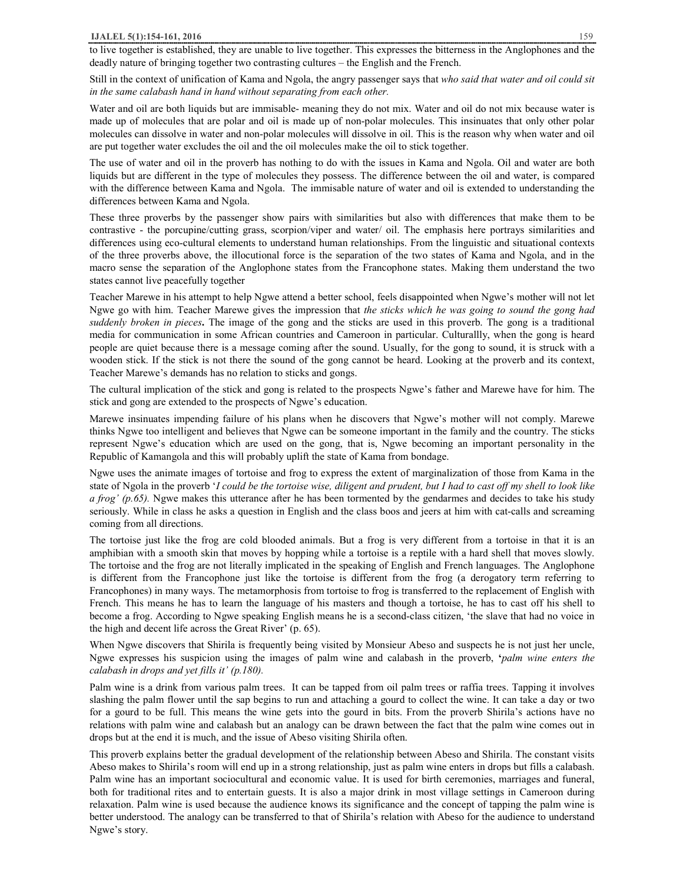## **IJALEL 5(1):154-161, 2016** 159

Still in the context of unification of Kama and Ngola, the angry passenger says that *who said that water and oil could sit in the same calabash hand in hand without separating from each other.* 

Water and oil are both liquids but are immisable- meaning they do not mix. Water and oil do not mix because water is made up of molecules that are polar and oil is made up of non-polar molecules. This insinuates that only other polar molecules can dissolve in water and non-polar molecules will dissolve in oil. This is the reason why when water and oil are put together water excludes the oil and the oil molecules make the oil to stick together.

The use of water and oil in the proverb has nothing to do with the issues in Kama and Ngola. Oil and water are both liquids but are different in the type of molecules they possess. The difference between the oil and water, is compared with the difference between Kama and Ngola. The immisable nature of water and oil is extended to understanding the differences between Kama and Ngola.

These three proverbs by the passenger show pairs with similarities but also with differences that make them to be contrastive - the porcupine/cutting grass, scorpion/viper and water/ oil. The emphasis here portrays similarities and differences using eco-cultural elements to understand human relationships. From the linguistic and situational contexts of the three proverbs above, the illocutional force is the separation of the two states of Kama and Ngola, and in the macro sense the separation of the Anglophone states from the Francophone states. Making them understand the two states cannot live peacefully together

Teacher Marewe in his attempt to help Ngwe attend a better school, feels disappointed when Ngwe's mother will not let Ngwe go with him. Teacher Marewe gives the impression that *the sticks which he was going to sound the gong had suddenly broken in pieces***.** The image of the gong and the sticks are used in this proverb. The gong is a traditional media for communication in some African countries and Cameroon in particular. Culturallly, when the gong is heard people are quiet because there is a message coming after the sound. Usually, for the gong to sound, it is struck with a wooden stick. If the stick is not there the sound of the gong cannot be heard. Looking at the proverb and its context, Teacher Marewe's demands has no relation to sticks and gongs.

The cultural implication of the stick and gong is related to the prospects Ngwe's father and Marewe have for him. The stick and gong are extended to the prospects of Ngwe's education.

Marewe insinuates impending failure of his plans when he discovers that Ngwe's mother will not comply. Marewe thinks Ngwe too intelligent and believes that Ngwe can be someone important in the family and the country. The sticks represent Ngwe's education which are used on the gong, that is, Ngwe becoming an important personality in the Republic of Kamangola and this will probably uplift the state of Kama from bondage.

Ngwe uses the animate images of tortoise and frog to express the extent of marginalization of those from Kama in the state of Ngola in the proverb '*I could be the tortoise wise, diligent and prudent, but I had to cast off my shell to look like a frog' (p.65).* Ngwe makes this utterance after he has been tormented by the gendarmes and decides to take his study seriously. While in class he asks a question in English and the class boos and jeers at him with cat-calls and screaming coming from all directions.

The tortoise just like the frog are cold blooded animals. But a frog is very different from a tortoise in that it is an amphibian with a smooth skin that moves by hopping while a tortoise is a reptile with a hard shell that moves slowly. The tortoise and the frog are not literally implicated in the speaking of English and French languages. The Anglophone is different from the Francophone just like the tortoise is different from the frog (a derogatory term referring to Francophones) in many ways. The metamorphosis from tortoise to frog is transferred to the replacement of English with French. This means he has to learn the language of his masters and though a tortoise, he has to cast off his shell to become a frog. According to Ngwe speaking English means he is a second-class citizen, 'the slave that had no voice in the high and decent life across the Great River' (p. 65).

When Ngwe discovers that Shirila is frequently being visited by Monsieur Abeso and suspects he is not just her uncle, Ngwe expresses his suspicion using the images of palm wine and calabash in the proverb, **'***palm wine enters the calabash in drops and yet fills it' (p.180).* 

Palm wine is a drink from various palm trees. It can be tapped from oil palm trees or raffia trees. Tapping it involves slashing the palm flower until the sap begins to run and attaching a gourd to collect the wine. It can take a day or two for a gourd to be full. This means the wine gets into the gourd in bits. From the proverb Shirila's actions have no relations with palm wine and calabash but an analogy can be drawn between the fact that the palm wine comes out in drops but at the end it is much, and the issue of Abeso visiting Shirila often.

This proverb explains better the gradual development of the relationship between Abeso and Shirila. The constant visits Abeso makes to Shirila's room will end up in a strong relationship, just as palm wine enters in drops but fills a calabash. Palm wine has an important sociocultural and economic value. It is used for birth ceremonies, marriages and funeral, both for traditional rites and to entertain guests. It is also a major drink in most village settings in Cameroon during relaxation. Palm wine is used because the audience knows its significance and the concept of tapping the palm wine is better understood. The analogy can be transferred to that of Shirila's relation with Abeso for the audience to understand Ngwe's story.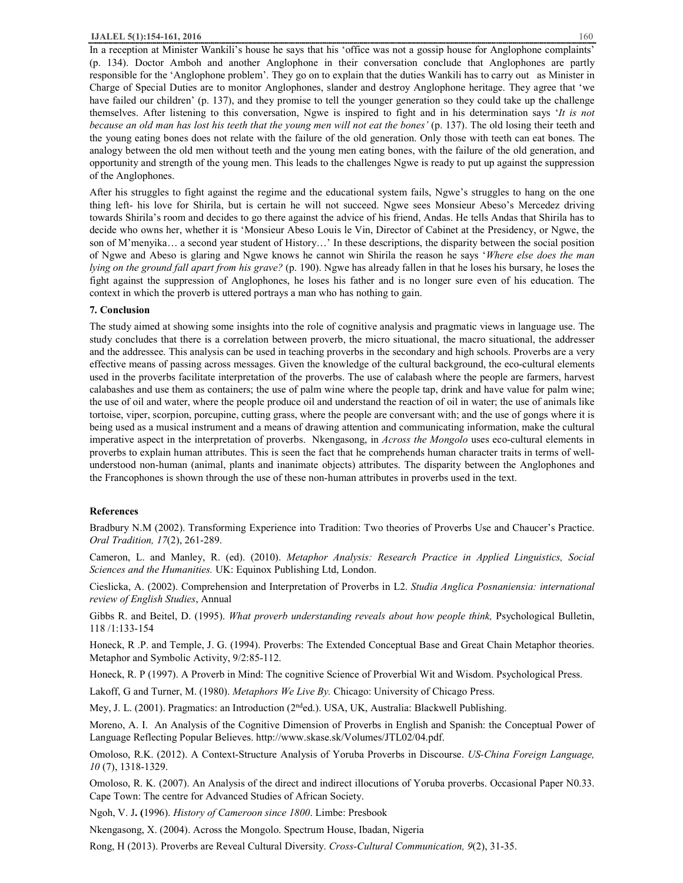In a reception at Minister Wankili's house he says that his 'office was not a gossip house for Anglophone complaints' (p. 134). Doctor Amboh and another Anglophone in their conversation conclude that Anglophones are partly responsible for the 'Anglophone problem'. They go on to explain that the duties Wankili has to carry out as Minister in Charge of Special Duties are to monitor Anglophones, slander and destroy Anglophone heritage. They agree that 'we have failed our children' (p. 137), and they promise to tell the younger generation so they could take up the challenge themselves. After listening to this conversation, Ngwe is inspired to fight and in his determination says '*It is not*  because an old man has lost his teeth that the young men will not eat the bones' (p. 137). The old losing their teeth and the young eating bones does not relate with the failure of the old generation. Only those with teeth can eat bones. The analogy between the old men without teeth and the young men eating bones, with the failure of the old generation, and opportunity and strength of the young men. This leads to the challenges Ngwe is ready to put up against the suppression of the Anglophones.

After his struggles to fight against the regime and the educational system fails, Ngwe's struggles to hang on the one thing left- his love for Shirila, but is certain he will not succeed. Ngwe sees Monsieur Abeso's Mercedez driving towards Shirila's room and decides to go there against the advice of his friend, Andas. He tells Andas that Shirila has to decide who owns her, whether it is 'Monsieur Abeso Louis le Vin, Director of Cabinet at the Presidency, or Ngwe, the son of M'menyika… a second year student of History…' In these descriptions, the disparity between the social position of Ngwe and Abeso is glaring and Ngwe knows he cannot win Shirila the reason he says '*Where else does the man lying on the ground fall apart from his grave?* (p. 190). Ngwe has already fallen in that he loses his bursary, he loses the fight against the suppression of Anglophones, he loses his father and is no longer sure even of his education. The context in which the proverb is uttered portrays a man who has nothing to gain.

## **7. Conclusion**

The study aimed at showing some insights into the role of cognitive analysis and pragmatic views in language use. The study concludes that there is a correlation between proverb, the micro situational, the macro situational, the addresser and the addressee. This analysis can be used in teaching proverbs in the secondary and high schools. Proverbs are a very effective means of passing across messages. Given the knowledge of the cultural background, the eco-cultural elements used in the proverbs facilitate interpretation of the proverbs. The use of calabash where the people are farmers, harvest calabashes and use them as containers; the use of palm wine where the people tap, drink and have value for palm wine; the use of oil and water, where the people produce oil and understand the reaction of oil in water; the use of animals like tortoise, viper, scorpion, porcupine, cutting grass, where the people are conversant with; and the use of gongs where it is being used as a musical instrument and a means of drawing attention and communicating information, make the cultural imperative aspect in the interpretation of proverbs. Nkengasong, in *Across the Mongolo* uses eco-cultural elements in proverbs to explain human attributes. This is seen the fact that he comprehends human character traits in terms of wellunderstood non-human (animal, plants and inanimate objects) attributes. The disparity between the Anglophones and the Francophones is shown through the use of these non-human attributes in proverbs used in the text.

#### **References**

Bradbury N.M (2002). Transforming Experience into Tradition: Two theories of Proverbs Use and Chaucer's Practice. *Oral Tradition, 17*(2), 261-289.

Cameron, L. and Manley, R. (ed). (2010). *Metaphor Analysis: Research Practice in Applied Linguistics, Social Sciences and the Humanities.* UK: Equinox Publishing Ltd, London.

Cieslicka, A. (2002). Comprehension and Interpretation of Proverbs in L2. *Studia Anglica Posnaniensia: international review of English Studies*, Annual

Gibbs R. and Beitel, D. (1995). *What proverb understanding reveals about how people think,* Psychological Bulletin, 118 /1:133-154

Honeck, R .P. and Temple, J. G. (1994). Proverbs: The Extended Conceptual Base and Great Chain Metaphor theories. Metaphor and Symbolic Activity, 9/2:85-112.

Honeck, R. P (1997). A Proverb in Mind: The cognitive Science of Proverbial Wit and Wisdom. Psychological Press.

Lakoff, G and Turner, M. (1980). *Metaphors We Live By.* Chicago: University of Chicago Press.

Mey, J. L. (2001). Pragmatics: an Introduction ( $2<sup>nd</sup>$ ed.). USA, UK, Australia: Blackwell Publishing.

Moreno, A. I. An Analysis of the Cognitive Dimension of Proverbs in English and Spanish: the Conceptual Power of Language Reflecting Popular Believes. http://www.skase.sk/Volumes/JTL02/04.pdf.

Omoloso, R.K. (2012). A Context-Structure Analysis of Yoruba Proverbs in Discourse. *US-China Foreign Language, 10* (7), 1318-1329.

Omoloso, R. K. (2007). An Analysis of the direct and indirect illocutions of Yoruba proverbs. Occasional Paper N0.33. Cape Town: The centre for Advanced Studies of African Society.

Ngoh, V. J**. (**1996). *History of Cameroon since 1800*. Limbe: Presbook

Nkengasong, X. (2004). Across the Mongolo. Spectrum House, Ibadan, Nigeria

Rong, H (2013). Proverbs are Reveal Cultural Diversity. *Cross-Cultural Communication, 9*(2), 31-35.